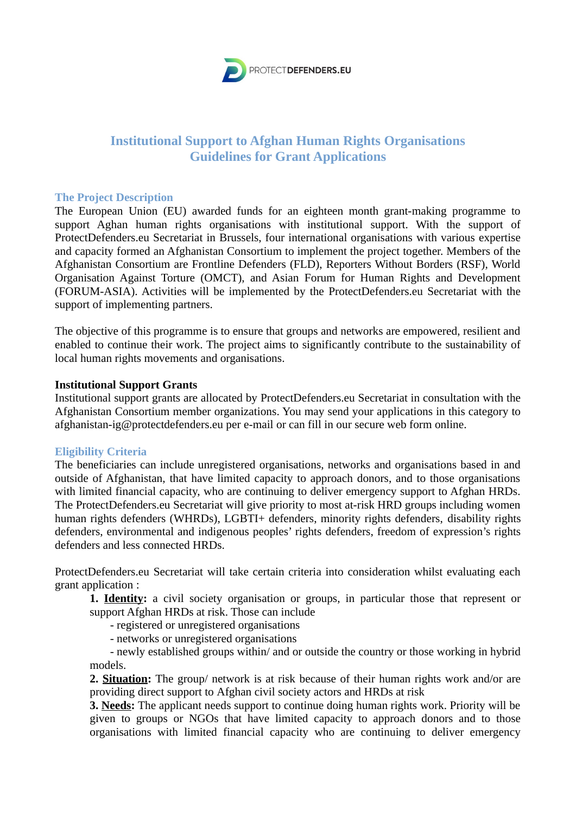

# **Institutional Support to Afghan Human Rights Organisations Guidelines for Grant Applications**

# **The Project Description**

The European Union (EU) awarded funds for an eighteen month grant-making programme to support Aghan human rights organisations with institutional support. With the support of ProtectDefenders.eu Secretariat in Brussels, four international organisations with various expertise and capacity formed an Afghanistan Consortium to implement the project together. Members of the Afghanistan Consortium are Frontline Defenders (FLD), Reporters Without Borders (RSF), World Organisation Against Torture (OMCT), and Asian Forum for Human Rights and Development (FORUM-ASIA). Activities will be implemented by the ProtectDefenders.eu Secretariat with the support of implementing partners.

The objective of this programme is to ensure that groups and networks are empowered, resilient and enabled to continue their work. The project aims to significantly contribute to the sustainability of local human rights movements and organisations.

## **Institutional Support Grants**

Institutional support grants are allocated by ProtectDefenders.eu Secretariat in consultation with the Afghanistan Consortium member organizations. You may send your applications in this category to afghanistan-ig@protectdefenders.eu per e-mail or can fill in our secure web form online.

# **Eligibility Criteria**

The beneficiaries can include unregistered organisations, networks and organisations based in and outside of Afghanistan, that have limited capacity to approach donors, and to those organisations with limited financial capacity, who are continuing to deliver emergency support to Afghan HRDs. The ProtectDefenders.eu Secretariat will give priority to most at-risk HRD groups including women human rights defenders (WHRDs), LGBTI+ defenders, minority rights defenders, disability rights defenders, environmental and indigenous peoples' rights defenders, freedom of expression's rights defenders and less connected HRDs.

ProtectDefenders.eu Secretariat will take certain criteria into consideration whilst evaluating each grant application :

**1. Identity:** a civil society organisation or groups, in particular those that represent or support Afghan HRDs at risk. Those can include

- registered or unregistered organisations

- networks or unregistered organisations

 - newly established groups within/ and or outside the country or those working in hybrid models.

**2. Situation:** The group/ network is at risk because of their human rights work and/or are providing direct support to Afghan civil society actors and HRDs at risk

**3. Needs:** The applicant needs support to continue doing human rights work. Priority will be given to groups or NGOs that have limited capacity to approach donors and to those organisations with limited financial capacity who are continuing to deliver emergency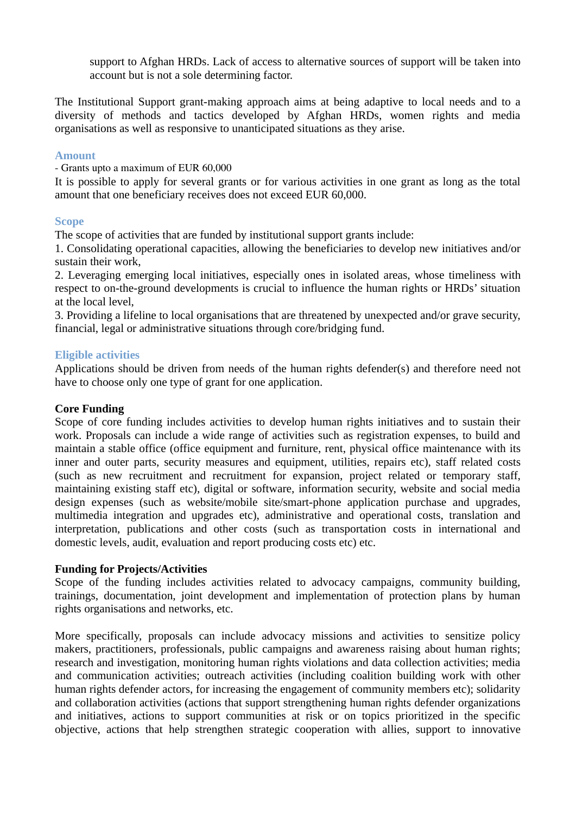support to Afghan HRDs. Lack of access to alternative sources of support will be taken into account but is not a sole determining factor.

The Institutional Support grant-making approach aims at being adaptive to local needs and to a diversity of methods and tactics developed by Afghan HRDs, women rights and media organisations as well as responsive to unanticipated situations as they arise.

# **Amount**

- Grants upto a maximum of EUR 60,000

It is possible to apply for several grants or for various activities in one grant as long as the total amount that one beneficiary receives does not exceed EUR 60,000.

## **Scope**

The scope of activities that are funded by institutional support grants include:

1. Consolidating operational capacities, allowing the beneficiaries to develop new initiatives and/or sustain their work,

2. Leveraging emerging local initiatives, especially ones in isolated areas, whose timeliness with respect to on-the-ground developments is crucial to influence the human rights or HRDs' situation at the local level,

3. Providing a lifeline to local organisations that are threatened by unexpected and/or grave security, financial, legal or administrative situations through core/bridging fund.

# **Eligible activities**

Applications should be driven from needs of the human rights defender(s) and therefore need not have to choose only one type of grant for one application.

### **Core Funding**

Scope of core funding includes activities to develop human rights initiatives and to sustain their work. Proposals can include a wide range of activities such as registration expenses, to build and maintain a stable office (office equipment and furniture, rent, physical office maintenance with its inner and outer parts, security measures and equipment, utilities, repairs etc), staff related costs (such as new recruitment and recruitment for expansion, project related or temporary staff, maintaining existing staff etc), digital or software, information security, website and social media design expenses (such as website/mobile site/smart-phone application purchase and upgrades, multimedia integration and upgrades etc), administrative and operational costs, translation and interpretation, publications and other costs (such as transportation costs in international and domestic levels, audit, evaluation and report producing costs etc) etc.

#### **Funding for Projects/Activities**

Scope of the funding includes activities related to advocacy campaigns, community building, trainings, documentation, joint development and implementation of protection plans by human rights organisations and networks, etc.

More specifically, proposals can include advocacy missions and activities to sensitize policy makers, practitioners, professionals, public campaigns and awareness raising about human rights; research and investigation, monitoring human rights violations and data collection activities; media and communication activities; outreach activities (including coalition building work with other human rights defender actors, for increasing the engagement of community members etc); solidarity and collaboration activities (actions that support strengthening human rights defender organizations and initiatives, actions to support communities at risk or on topics prioritized in the specific objective, actions that help strengthen strategic cooperation with allies, support to innovative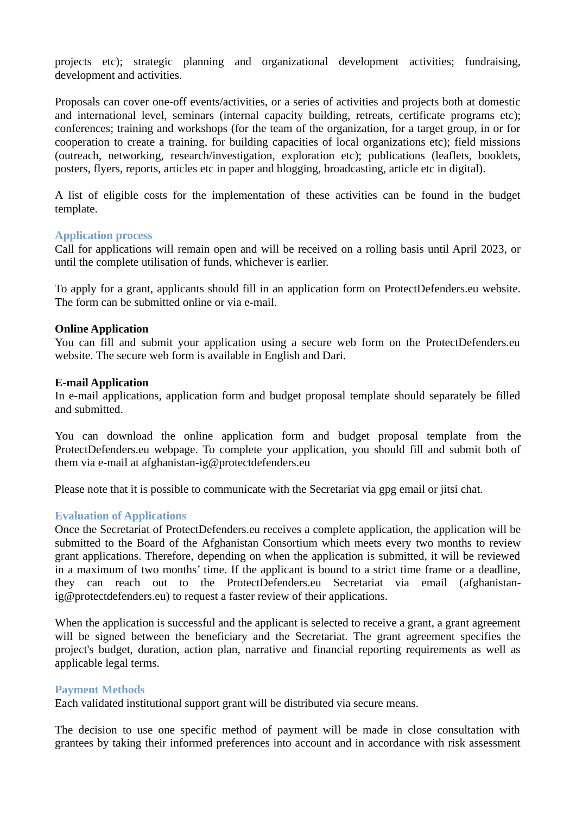projects etc); strategic planning and organizational development activities; fundraising, development and activities.

Proposals can cover one-off events/activities, or a series of activities and projects both at domestic and international level, seminars (internal capacity building, retreats, certificate programs etc); conferences; training and workshops (for the team of the organization, for a target group, in or for cooperation to create a training, for building capacities of local organizations etc); field missions (outreach, networking, research/investigation, exploration etc); publications (leaflets, booklets, posters, flyers, reports, articles etc in paper and blogging, broadcasting, article etc in digital).

A list of eligible costs for the implementation of these activities can be found in the budget template.

## **Application process**

Call for applications will remain open and will be received on a rolling basis until April 2023, or until the complete utilisation of funds, whichever is earlier.

To apply for a grant, applicants should fill in an application form on ProtectDefenders.eu website. The form can be submitted online or via e-mail.

## **Online Application**

You can fill and submit your application using a secure web form on the ProtectDefenders.eu website. The secure web form is available in English and Dari.

## **E-mail Application**

In e-mail applications, application form and budget proposal template should separately be filled and submitted.

You can download the online application form and budget proposal template from the ProtectDefenders.eu webpage. To complete your application, you should fill and submit both of them via e-mail at afghanistan-ig@protectdefenders.eu

Please note that it is possible to communicate with the Secretariat via gpg email or jitsi chat.

#### **Evaluation of Applications**

Once the Secretariat of ProtectDefenders.eu receives a complete application, the application will be submitted to the Board of the Afghanistan Consortium which meets every two months to review grant applications. Therefore, depending on when the application is submitted, it will be reviewed in a maximum of two months' time. If the applicant is bound to a strict time frame or a deadline, they can reach out to the ProtectDefenders.eu Secretariat via email (afghanistanig@protectdefenders.eu) to request a faster review of their applications.

When the application is successful and the applicant is selected to receive a grant, a grant agreement will be signed between the beneficiary and the Secretariat. The grant agreement specifies the project's budget, duration, action plan, narrative and financial reporting requirements as well as applicable legal terms.

#### **Payment Methods**

Each validated institutional support grant will be distributed via secure means.

The decision to use one specific method of payment will be made in close consultation with grantees by taking their informed preferences into account and in accordance with risk assessment